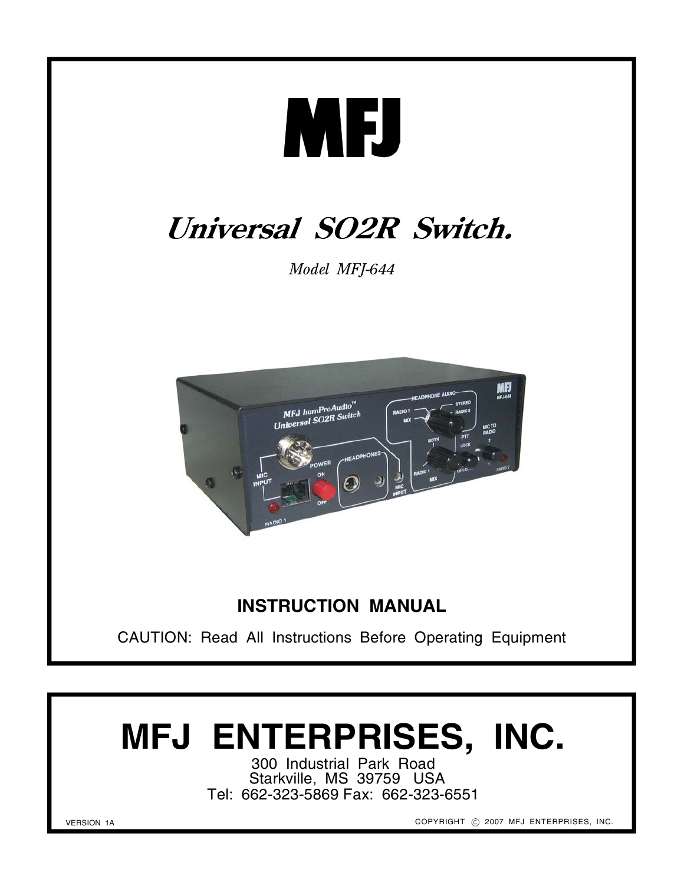

# **MFJ ENTERPRISES, INC.**

300 Industrial Park Road Starkville, MS 39759 USA Tel: 662-323-5869 Fax: 662-323-6551

VERSION 1A

COPYRIGHT @ 2007 MFJ ENTERPRISES, INC.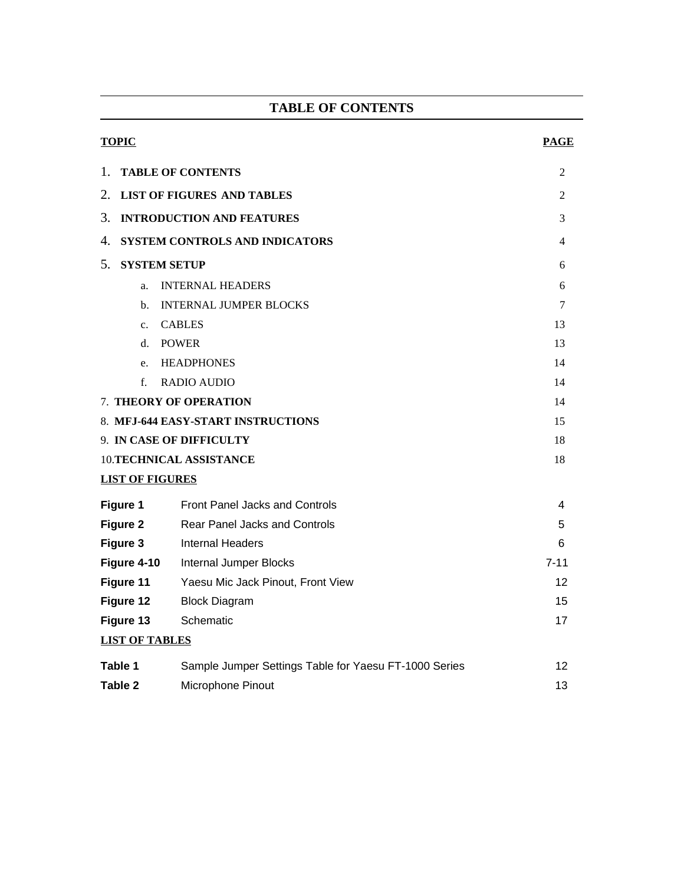# **TABLE OF CONTENTS**

| <b>TOPIC</b>                                 |                                                       | <b>PAGE</b> |  |  |  |
|----------------------------------------------|-------------------------------------------------------|-------------|--|--|--|
| <b>TABLE OF CONTENTS</b><br>1.               |                                                       |             |  |  |  |
| 2.<br><b>LIST OF FIGURES AND TABLES</b>      |                                                       |             |  |  |  |
| 3.<br><b>INTRODUCTION AND FEATURES</b>       |                                                       |             |  |  |  |
| 4.<br>SYSTEM CONTROLS AND INDICATORS         |                                                       |             |  |  |  |
| 5.<br><b>SYSTEM SETUP</b>                    |                                                       |             |  |  |  |
| <b>INTERNAL HEADERS</b><br>a.                |                                                       |             |  |  |  |
| <b>INTERNAL JUMPER BLOCKS</b><br>$h_{\cdot}$ |                                                       |             |  |  |  |
| <b>CABLES</b><br>$c_{\cdot}$                 | 13                                                    |             |  |  |  |
| <b>POWER</b><br>d.                           | 13                                                    |             |  |  |  |
| <b>HEADPHONES</b><br>e.                      | 14                                                    |             |  |  |  |
| f<br><b>RADIO AUDIO</b>                      |                                                       |             |  |  |  |
| 7. THEORY OF OPERATION                       | 14                                                    |             |  |  |  |
| 8. MFJ-644 EASY-START INSTRUCTIONS           |                                                       |             |  |  |  |
| 9. IN CASE OF DIFFICULTY                     | 18                                                    |             |  |  |  |
| <b>10.TECHNICAL ASSISTANCE</b>               |                                                       |             |  |  |  |
| <b>LIST OF FIGURES</b>                       |                                                       |             |  |  |  |
| Figure 1                                     | <b>Front Panel Jacks and Controls</b>                 | 4           |  |  |  |
| Figure 2                                     | <b>Rear Panel Jacks and Controls</b>                  | 5           |  |  |  |
| Figure 3                                     | <b>Internal Headers</b>                               | 6           |  |  |  |
| Figure 4-10                                  | Internal Jumper Blocks                                | $7 - 11$    |  |  |  |
| Figure 11                                    | Yaesu Mic Jack Pinout, Front View                     | 12          |  |  |  |
| Figure 12                                    | <b>Block Diagram</b>                                  | 15          |  |  |  |
| Figure 13                                    | Schematic                                             | 17          |  |  |  |
| <b>LIST OF TABLES</b>                        |                                                       |             |  |  |  |
| Table 1                                      | Sample Jumper Settings Table for Yaesu FT-1000 Series | 12          |  |  |  |
| <b>Table 2</b>                               | 13                                                    |             |  |  |  |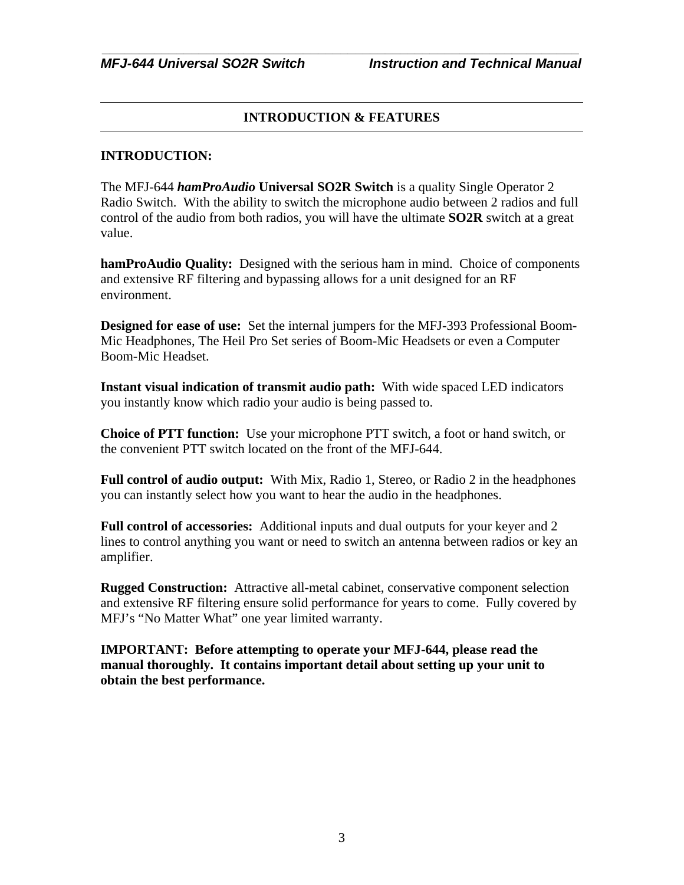# **INTRODUCTION & FEATURES**

#### **INTRODUCTION:**

The MFJ-644 *hamProAudio* **Universal SO2R Switch** is a quality Single Operator 2 Radio Switch. With the ability to switch the microphone audio between 2 radios and full control of the audio from both radios, you will have the ultimate **SO2R** switch at a great value.

**hamProAudio Quality:** Designed with the serious ham in mind. Choice of components and extensive RF filtering and bypassing allows for a unit designed for an RF environment.

**Designed for ease of use:** Set the internal jumpers for the MFJ-393 Professional Boom-Mic Headphones, The Heil Pro Set series of Boom-Mic Headsets or even a Computer Boom-Mic Headset.

**Instant visual indication of transmit audio path:** With wide spaced LED indicators you instantly know which radio your audio is being passed to.

**Choice of PTT function:** Use your microphone PTT switch, a foot or hand switch, or the convenient PTT switch located on the front of the MFJ-644.

**Full control of audio output:** With Mix, Radio 1, Stereo, or Radio 2 in the headphones you can instantly select how you want to hear the audio in the headphones.

**Full control of accessories:** Additional inputs and dual outputs for your keyer and 2 lines to control anything you want or need to switch an antenna between radios or key an amplifier.

**Rugged Construction:** Attractive all-metal cabinet, conservative component selection and extensive RF filtering ensure solid performance for years to come. Fully covered by MFJ's "No Matter What" one year limited warranty.

**IMPORTANT: Before attempting to operate your MFJ-644, please read the manual thoroughly. It contains important detail about setting up your unit to obtain the best performance.**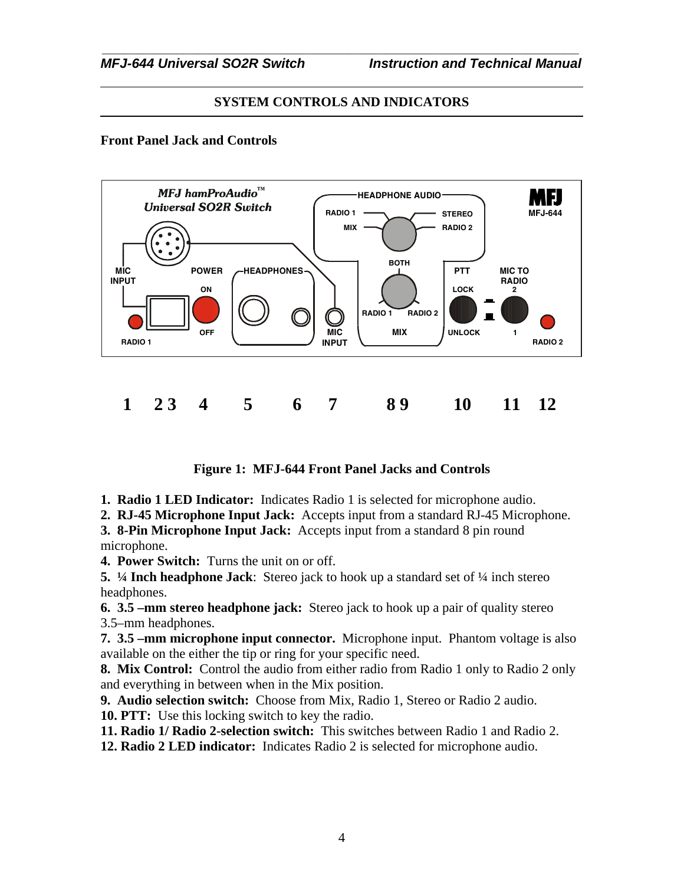# **SYSTEM CONTROLS AND INDICATORS**

### **Front Panel Jack and Controls**



**Figure 1: MFJ-644 Front Panel Jacks and Controls**

**1. Radio 1 LED Indicator:** Indicates Radio 1 is selected for microphone audio.

**2. RJ-45 Microphone Input Jack:** Accepts input from a standard RJ-45 Microphone.

**3. 8-Pin Microphone Input Jack:** Accepts input from a standard 8 pin round microphone.

**4. Power Switch:** Turns the unit on or off.

**5. ¼ Inch headphone Jack**: Stereo jack to hook up a standard set of ¼ inch stereo headphones.

**6. 3.5 –mm stereo headphone jack:** Stereo jack to hook up a pair of quality stereo 3.5–mm headphones.

**7. 3.5 –mm microphone input connector.** Microphone input. Phantom voltage is also available on the either the tip or ring for your specific need.

**8. Mix Control:** Control the audio from either radio from Radio 1 only to Radio 2 only and everything in between when in the Mix position.

**9. Audio selection switch:** Choose from Mix, Radio 1, Stereo or Radio 2 audio.

**10. PTT:** Use this locking switch to key the radio.

**11. Radio 1/ Radio 2-selection switch:** This switches between Radio 1 and Radio 2.

**12. Radio 2 LED indicator:** Indicates Radio 2 is selected for microphone audio.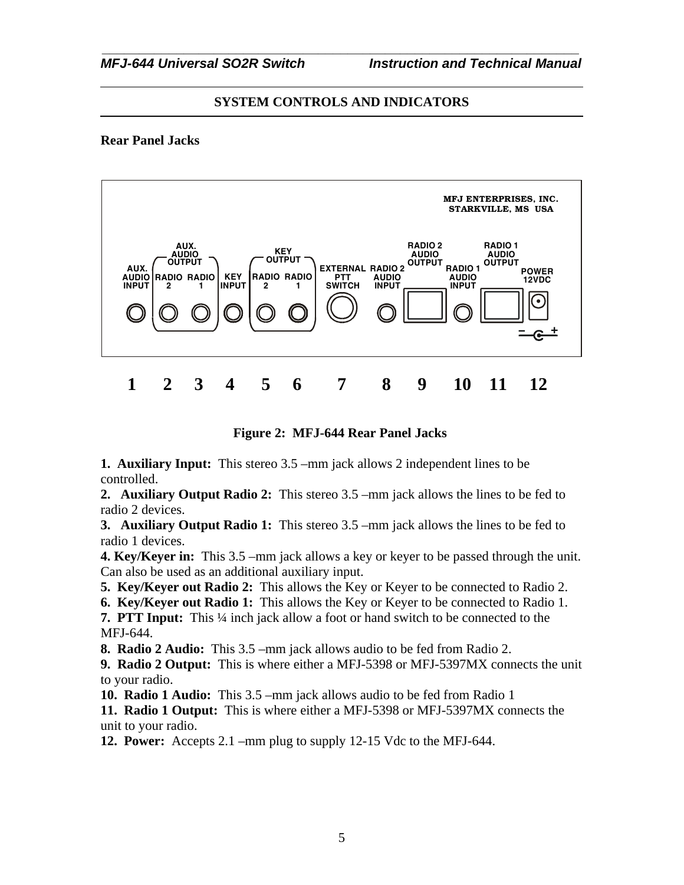# **SYSTEM CONTROLS AND INDICATORS**

### **Rear Panel Jacks**



# **Figure 2: MFJ-644 Rear Panel Jacks**

**1. Auxiliary Input:** This stereo 3.5 –mm jack allows 2 independent lines to be controlled.

**2. Auxiliary Output Radio 2:** This stereo 3.5 –mm jack allows the lines to be fed to radio 2 devices.

**3. Auxiliary Output Radio 1:** This stereo 3.5 –mm jack allows the lines to be fed to radio 1 devices.

**4. Key/Keyer in:** This 3.5 –mm jack allows a key or keyer to be passed through the unit. Can also be used as an additional auxiliary input.

**5. Key/Keyer out Radio 2:** This allows the Key or Keyer to be connected to Radio 2.

**6. Key/Keyer out Radio 1:** This allows the Key or Keyer to be connected to Radio 1.

**7. PTT Input:** This ¼ inch jack allow a foot or hand switch to be connected to the MFJ-644.

**8. Radio 2 Audio:** This 3.5 –mm jack allows audio to be fed from Radio 2.

**9. Radio 2 Output:** This is where either a MFJ-5398 or MFJ-5397MX connects the unit to your radio.

**10. Radio 1 Audio:** This 3.5 –mm jack allows audio to be fed from Radio 1

**11. Radio 1 Output:** This is where either a MFJ-5398 or MFJ-5397MX connects the unit to your radio.

**12. Power:** Accepts 2.1 –mm plug to supply 12-15 Vdc to the MFJ-644.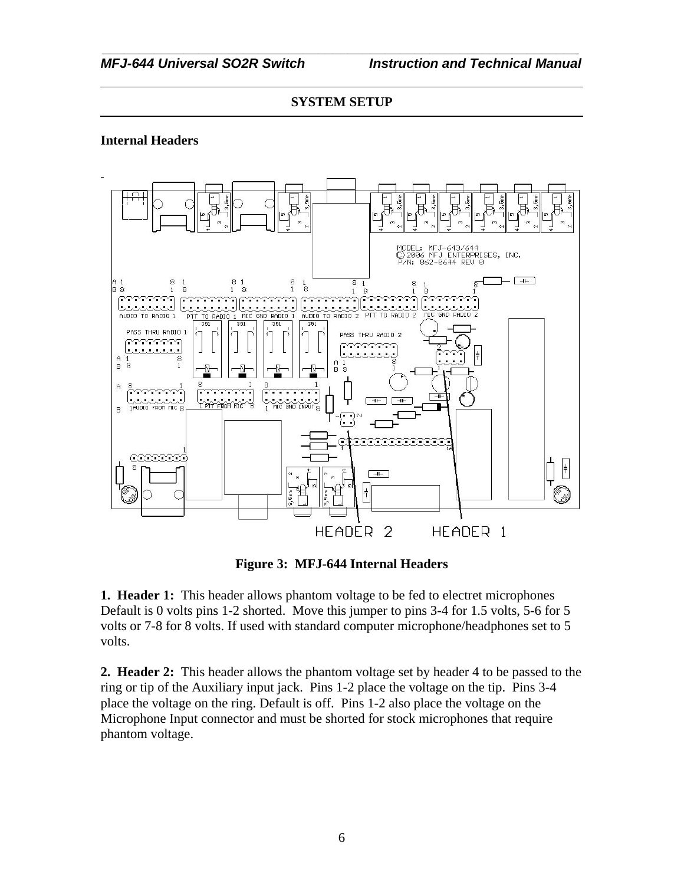#### **Internal Headers**



**Figure 3: MFJ-644 Internal Headers**

**1. Header 1:** This header allows phantom voltage to be fed to electret microphones Default is 0 volts pins 1-2 shorted. Move this jumper to pins 3-4 for 1.5 volts, 5-6 for 5 volts or 7-8 for 8 volts. If used with standard computer microphone/headphones set to 5 volts.

**2. Header 2:** This header allows the phantom voltage set by header 4 to be passed to the ring or tip of the Auxiliary input jack. Pins 1-2 place the voltage on the tip. Pins 3-4 place the voltage on the ring. Default is off. Pins 1-2 also place the voltage on the Microphone Input connector and must be shorted for stock microphones that require phantom voltage.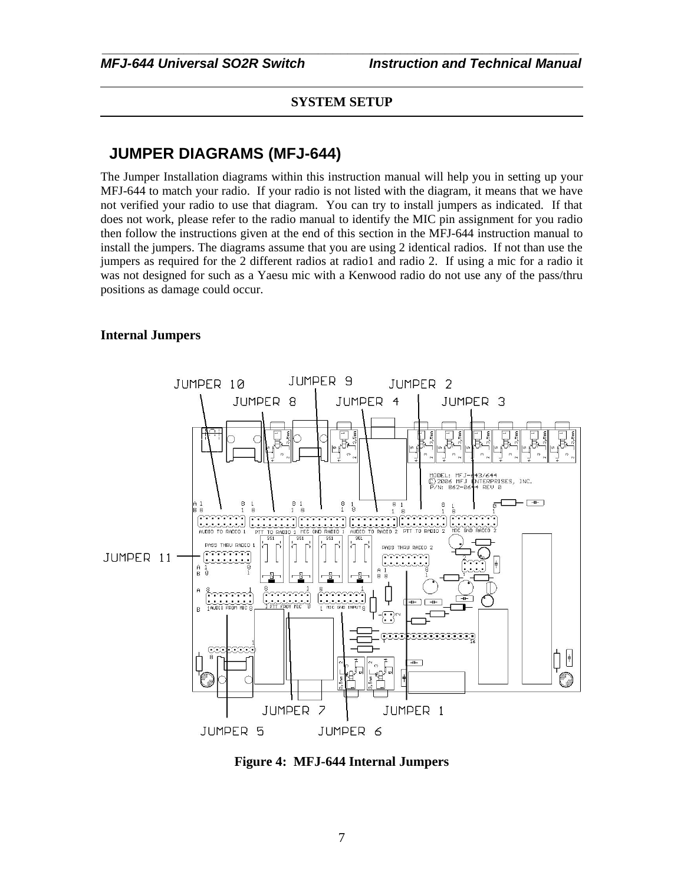*\_\_\_\_\_\_\_\_\_\_\_\_\_\_\_\_\_\_\_\_\_\_\_\_\_\_\_\_\_\_\_\_\_\_\_\_\_\_\_\_\_\_\_\_\_\_\_\_\_\_\_\_\_\_\_\_\_\_\_\_\_\_\_\_*

# **JUMPER DIAGRAMS (MFJ-644)**

The Jumper Installation diagrams within this instruction manual will help you in setting up your MFJ-644 to match your radio. If your radio is not listed with the diagram, it means that we have not verified your radio to use that diagram. You can try to install jumpers as indicated. If that does not work, please refer to the radio manual to identify the MIC pin assignment for you radio then follow the instructions given at the end of this section in the MFJ-644 instruction manual to install the jumpers. The diagrams assume that you are using 2 identical radios. If not than use the jumpers as required for the 2 different radios at radio1 and radio 2. If using a mic for a radio it was not designed for such as a Yaesu mic with a Kenwood radio do not use any of the pass/thru positions as damage could occur.

#### **Internal Jumpers**



**Figure 4: MFJ-644 Internal Jumpers**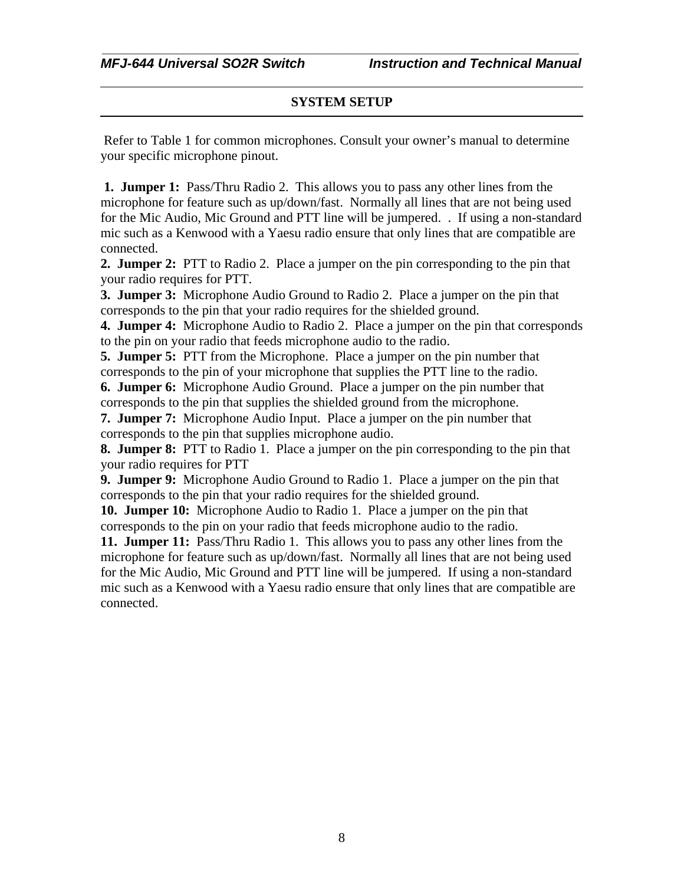*\_\_\_\_\_\_\_\_\_\_\_\_\_\_\_\_\_\_\_\_\_\_\_\_\_\_\_\_\_\_\_\_\_\_\_\_\_\_\_\_\_\_\_\_\_\_\_\_\_\_\_\_\_\_\_\_\_\_\_\_\_\_\_\_*

 Refer to Table 1 for common microphones. Consult your owner's manual to determine your specific microphone pinout.

**1. Jumper 1:** Pass/Thru Radio 2. This allows you to pass any other lines from the microphone for feature such as up/down/fast. Normally all lines that are not being used for the Mic Audio, Mic Ground and PTT line will be jumpered. . If using a non-standard mic such as a Kenwood with a Yaesu radio ensure that only lines that are compatible are connected.

**2. Jumper 2:** PTT to Radio 2. Place a jumper on the pin corresponding to the pin that your radio requires for PTT.

**3. Jumper 3:** Microphone Audio Ground to Radio 2. Place a jumper on the pin that corresponds to the pin that your radio requires for the shielded ground.

**4. Jumper 4:** Microphone Audio to Radio 2. Place a jumper on the pin that corresponds to the pin on your radio that feeds microphone audio to the radio.

**5. Jumper 5:** PTT from the Microphone. Place a jumper on the pin number that corresponds to the pin of your microphone that supplies the PTT line to the radio.

**6. Jumper 6:** Microphone Audio Ground. Place a jumper on the pin number that corresponds to the pin that supplies the shielded ground from the microphone.

**7. Jumper 7:** Microphone Audio Input. Place a jumper on the pin number that corresponds to the pin that supplies microphone audio.

**8. Jumper 8:** PTT to Radio 1. Place a jumper on the pin corresponding to the pin that your radio requires for PTT

**9. Jumper 9:** Microphone Audio Ground to Radio 1. Place a jumper on the pin that corresponds to the pin that your radio requires for the shielded ground.

**10. Jumper 10:** Microphone Audio to Radio 1. Place a jumper on the pin that corresponds to the pin on your radio that feeds microphone audio to the radio.

**11. Jumper 11:** Pass/Thru Radio 1. This allows you to pass any other lines from the microphone for feature such as up/down/fast. Normally all lines that are not being used for the Mic Audio, Mic Ground and PTT line will be jumpered. If using a non-standard mic such as a Kenwood with a Yaesu radio ensure that only lines that are compatible are connected.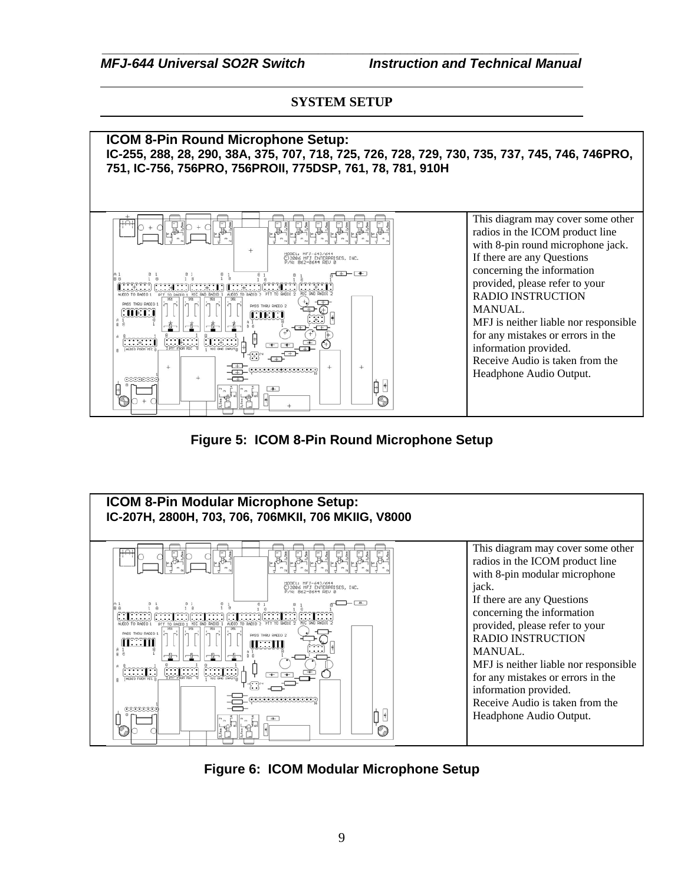*\_\_\_\_\_\_\_\_\_\_\_\_\_\_\_\_\_\_\_\_\_\_\_\_\_\_\_\_\_\_\_\_\_\_\_\_\_\_\_\_\_\_\_\_\_\_\_\_\_\_\_\_\_\_\_\_\_\_\_\_\_\_\_\_ MFJ-644 Universal SO2R Switch Instruction and Technical Manual*

# **SYSTEM SETUP**



**Figure 5: ICOM 8-Pin Round Microphone Setup**



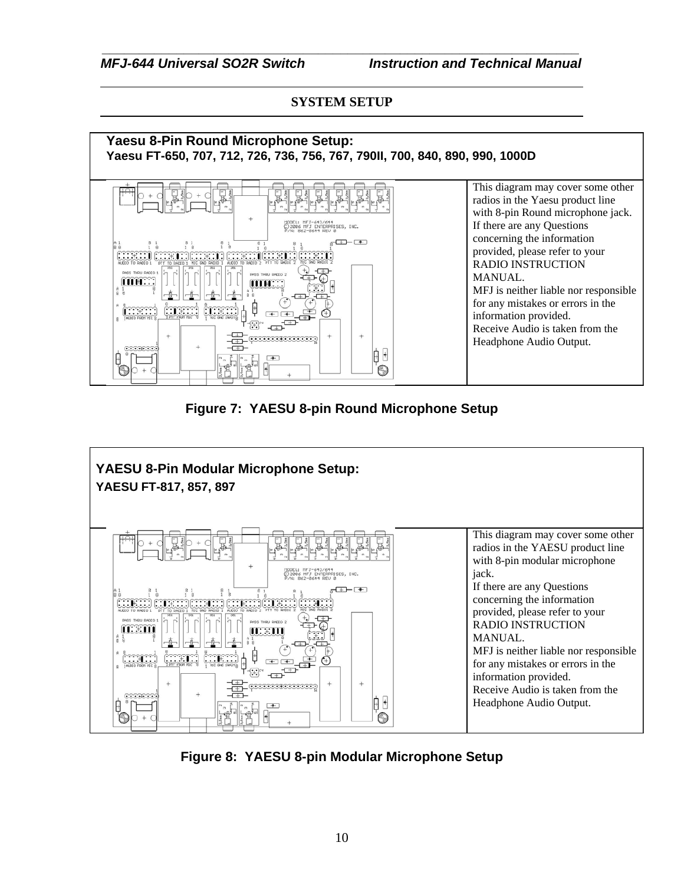

# **Figure 7: YAESU 8-pin Round Microphone Setup**



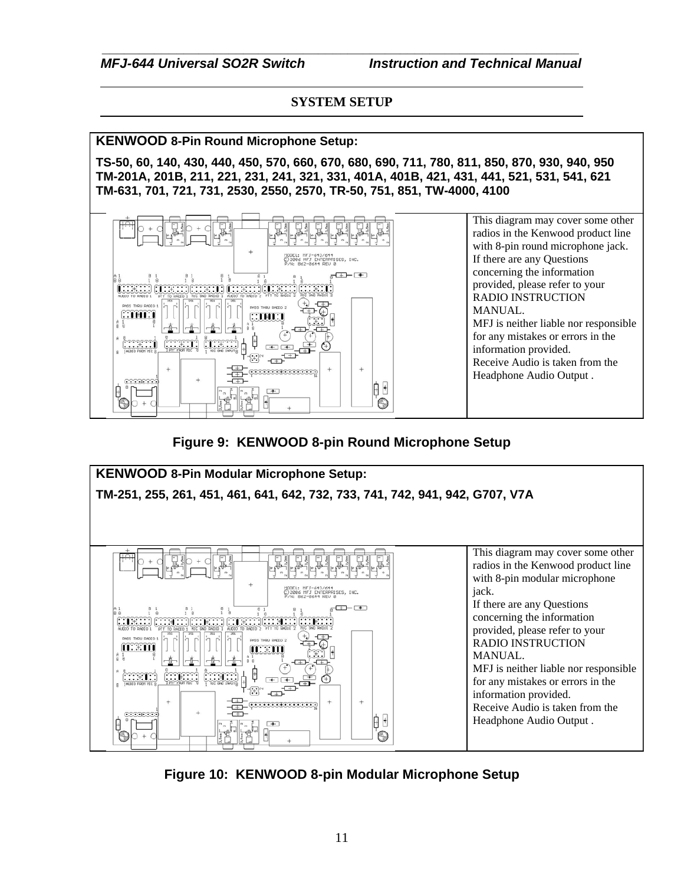*\_\_\_\_\_\_\_\_\_\_\_\_\_\_\_\_\_\_\_\_\_\_\_\_\_\_\_\_\_\_\_\_\_\_\_\_\_\_\_\_\_\_\_\_\_\_\_\_\_\_\_\_\_\_\_\_\_\_\_\_\_\_\_\_ MFJ-644 Universal SO2R Switch Instruction and Technical Manual*

# **SYSTEM SETUP**

**KENWOOD 8-Pin Round Microphone Setup:**

**TS-50, 60, 140, 430, 440, 450, 570, 660, 670, 680, 690, 711, 780, 811, 850, 870, 930, 940, 950 TM-201A, 201B, 211, 221, 231, 241, 321, 331, 401A, 401B, 421, 431, 441, 521, 531, 541, 621 TM-631, 701, 721, 731, 2530, 2550, 2570, TR-50, 751, 851, TW-4000, 4100**



**Figure 9: KENWOOD 8-pin Round Microphone Setup**



**Figure 10: KENWOOD 8-pin Modular Microphone Setup**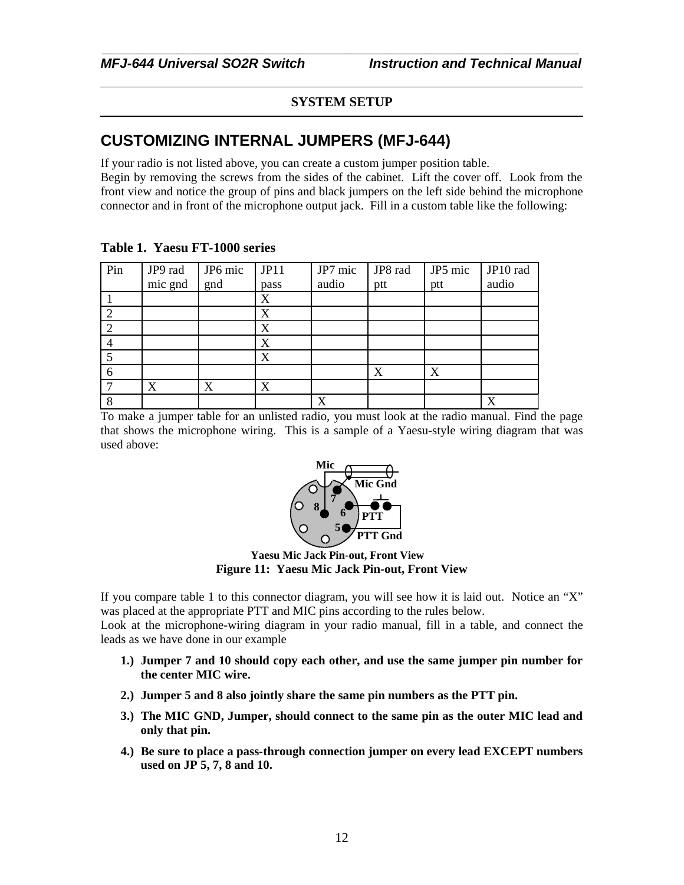*\_\_\_\_\_\_\_\_\_\_\_\_\_\_\_\_\_\_\_\_\_\_\_\_\_\_\_\_\_\_\_\_\_\_\_\_\_\_\_\_\_\_\_\_\_\_\_\_\_\_\_\_\_\_\_\_\_\_\_\_\_\_\_\_*

# **CUSTOMIZING INTERNAL JUMPERS (MFJ-644)**

If your radio is not listed above, you can create a custom jumper position table. Begin by removing the screws from the sides of the cabinet. Lift the cover off. Look from the front view and notice the group of pins and black jumpers on the left side behind the microphone connector and in front of the microphone output jack. Fill in a custom table like the following:

| Pin | JP9 rad | JP6 mic | JPI1 | JP7 mic | JP8 rad | JP5 mic | JP10 rad |
|-----|---------|---------|------|---------|---------|---------|----------|
|     | mic gnd | gnd     | pass | audio   | ptt     | ptt     | audio    |
|     |         |         | X    |         |         |         |          |
| ⌒   |         |         | X    |         |         |         |          |
|     |         |         | X    |         |         |         |          |
|     |         |         | X    |         |         |         |          |
|     |         |         | X    |         |         |         |          |
|     |         |         |      |         | X       | X       |          |
|     | X       | X       | X    |         |         |         |          |
|     |         |         |      | X       |         |         | X        |

#### **Table 1. Yaesu FT-1000 series**

To make a jumper table for an unlisted radio, you must look at the radio manual. Find the page that shows the microphone wiring. This is a sample of a Yaesu-style wiring diagram that was used above:



**Yaesu Mic Jack Pin-out, Front View Figure 11: Yaesu Mic Jack Pin-out, Front View**

If you compare table 1 to this connector diagram, you will see how it is laid out. Notice an "X" was placed at the appropriate PTT and MIC pins according to the rules below.

Look at the microphone-wiring diagram in your radio manual, fill in a table, and connect the leads as we have done in our example

- **1.) Jumper 7 and 10 should copy each other, and use the same jumper pin number for the center MIC wire.**
- **2.) Jumper 5 and 8 also jointly share the same pin numbers as the PTT pin.**
- **3.) The MIC GND, Jumper, should connect to the same pin as the outer MIC lead and only that pin.**
- **4.) Be sure to place a pass-through connection jumper on every lead EXCEPT numbers used on JP 5, 7, 8 and 10.**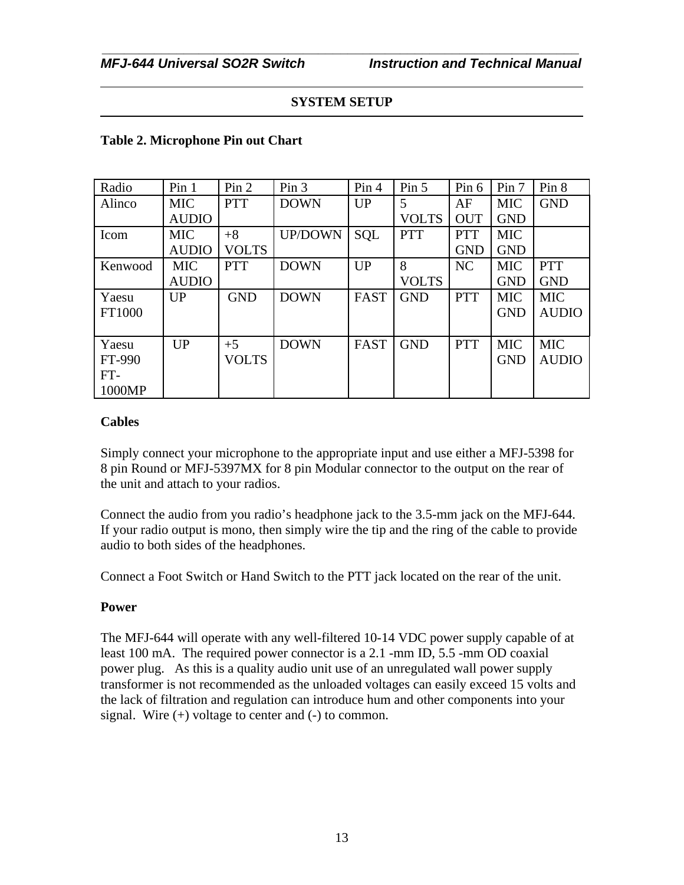#### **Table 2. Microphone Pin out Chart**

| Radio   | Pin <sub>1</sub> | Pin 2        | Pin <sub>3</sub> | Pin 4       | Pin 5        | Pin 6      | Pin 7      | Pin 8        |
|---------|------------------|--------------|------------------|-------------|--------------|------------|------------|--------------|
| Alinco  | <b>MIC</b>       | <b>PTT</b>   | <b>DOWN</b>      | UP          | 5            | AF         | <b>MIC</b> | <b>GND</b>   |
|         | <b>AUDIO</b>     |              |                  |             | <b>VOLTS</b> | <b>OUT</b> | <b>GND</b> |              |
| Icom    | <b>MIC</b>       | $+8$         | <b>UP/DOWN</b>   | SQL         | <b>PTT</b>   | <b>PTT</b> | <b>MIC</b> |              |
|         | <b>AUDIO</b>     | <b>VOLTS</b> |                  |             |              | <b>GND</b> | <b>GND</b> |              |
| Kenwood | <b>MIC</b>       | <b>PTT</b>   | <b>DOWN</b>      | UP          | 8            | NC         | <b>MIC</b> | <b>PTT</b>   |
|         | <b>AUDIO</b>     |              |                  |             | <b>VOLTS</b> |            | <b>GND</b> | <b>GND</b>   |
| Yaesu   | UP               | <b>GND</b>   | <b>DOWN</b>      | <b>FAST</b> | <b>GND</b>   | <b>PTT</b> | <b>MIC</b> | <b>MIC</b>   |
| FT1000  |                  |              |                  |             |              |            | <b>GND</b> | <b>AUDIO</b> |
|         |                  |              |                  |             |              |            |            |              |
| Yaesu   | UP               | $+5$         | <b>DOWN</b>      | <b>FAST</b> | <b>GND</b>   | <b>PTT</b> | <b>MIC</b> | <b>MIC</b>   |
| FT-990  |                  | <b>VOLTS</b> |                  |             |              |            | <b>GND</b> | <b>AUDIO</b> |
| $FT-$   |                  |              |                  |             |              |            |            |              |
| 1000MP  |                  |              |                  |             |              |            |            |              |

#### **Cables**

Simply connect your microphone to the appropriate input and use either a MFJ-5398 for 8 pin Round or MFJ-5397MX for 8 pin Modular connector to the output on the rear of the unit and attach to your radios.

Connect the audio from you radio's headphone jack to the 3.5-mm jack on the MFJ-644. If your radio output is mono, then simply wire the tip and the ring of the cable to provide audio to both sides of the headphones.

Connect a Foot Switch or Hand Switch to the PTT jack located on the rear of the unit.

# **Power**

The MFJ-644 will operate with any well-filtered 10-14 VDC power supply capable of at least 100 mA. The required power connector is a 2.1 -mm ID, 5.5 -mm OD coaxial power plug. As this is a quality audio unit use of an unregulated wall power supply transformer is not recommended as the unloaded voltages can easily exceed 15 volts and the lack of filtration and regulation can introduce hum and other components into your signal. Wire  $(+)$  voltage to center and  $(-)$  to common.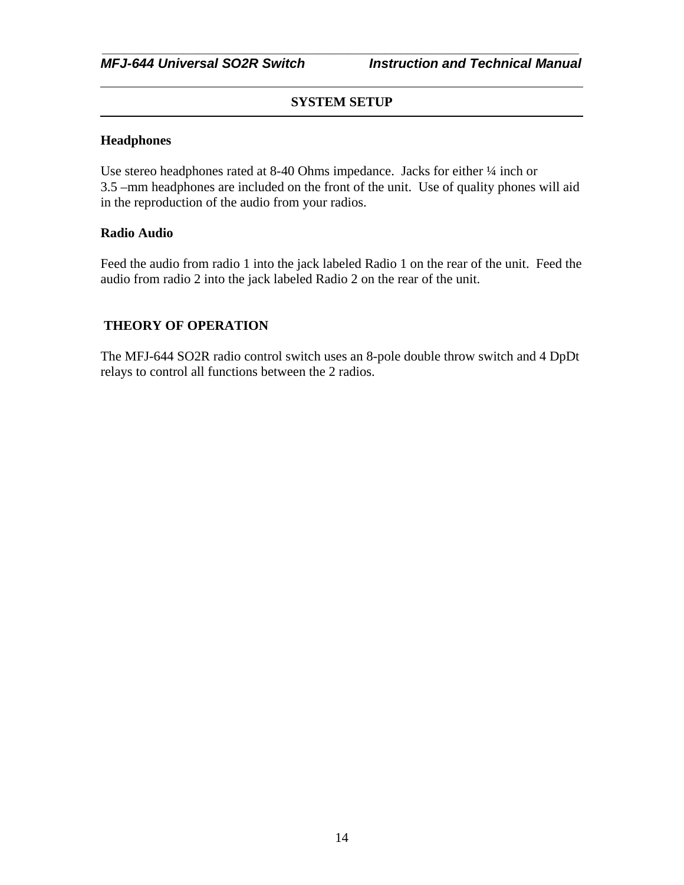#### **Headphones**

Use stereo headphones rated at 8-40 Ohms impedance. Jacks for either ¼ inch or 3.5 –mm headphones are included on the front of the unit. Use of quality phones will aid in the reproduction of the audio from your radios.

#### **Radio Audio**

Feed the audio from radio 1 into the jack labeled Radio 1 on the rear of the unit. Feed the audio from radio 2 into the jack labeled Radio 2 on the rear of the unit.

#### **THEORY OF OPERATION**

The MFJ-644 SO2R radio control switch uses an 8-pole double throw switch and 4 DpDt relays to control all functions between the 2 radios.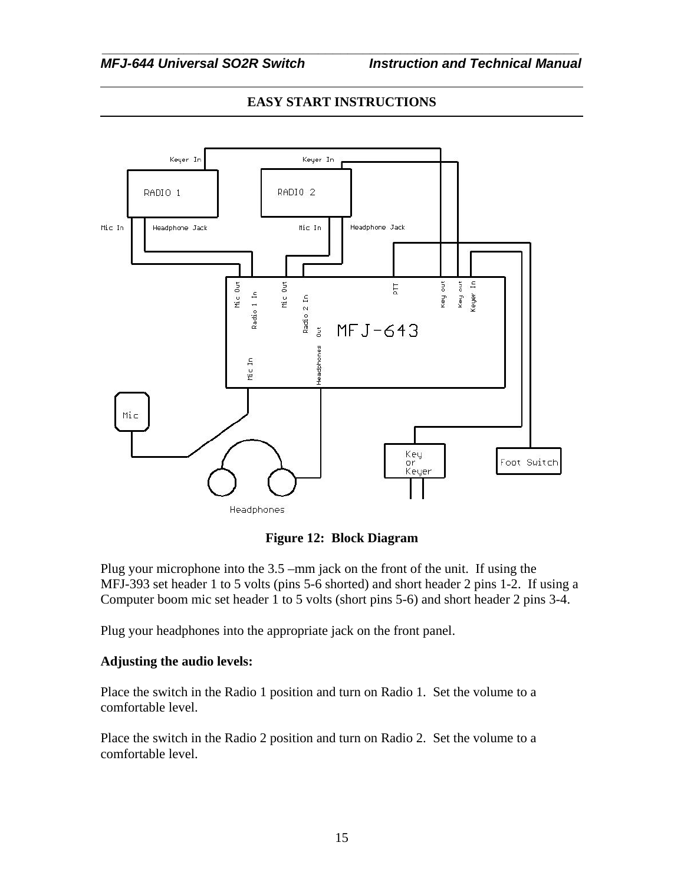# **EASY START INSTRUCTIONS**





Plug your microphone into the 3.5 –mm jack on the front of the unit. If using the MFJ-393 set header 1 to 5 volts (pins 5-6 shorted) and short header 2 pins 1-2. If using a Computer boom mic set header 1 to 5 volts (short pins 5-6) and short header 2 pins 3-4.

Plug your headphones into the appropriate jack on the front panel.

# **Adjusting the audio levels:**

Place the switch in the Radio 1 position and turn on Radio 1. Set the volume to a comfortable level.

Place the switch in the Radio 2 position and turn on Radio 2. Set the volume to a comfortable level.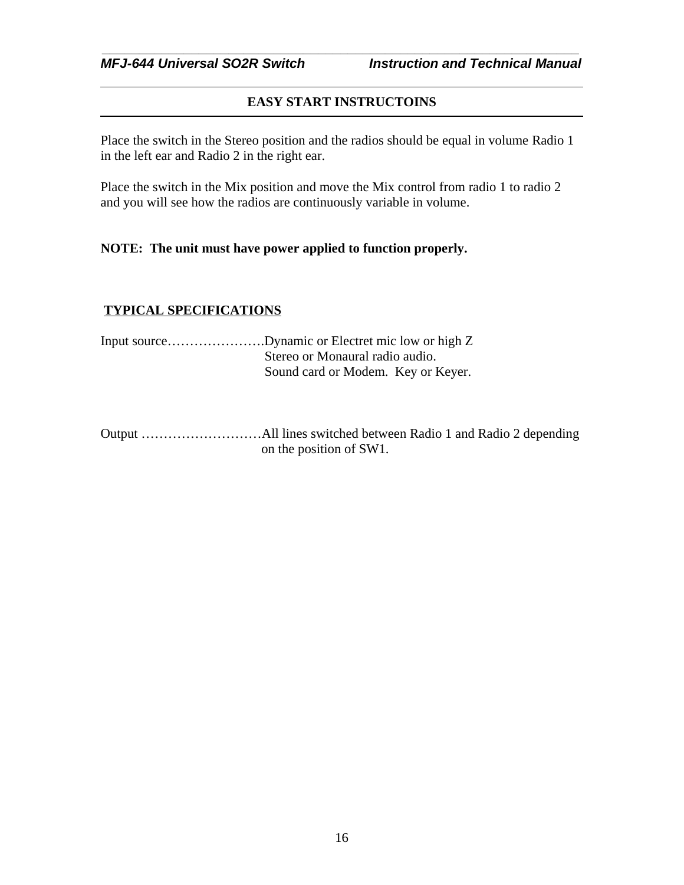### **EASY START INSTRUCTOINS**

*\_\_\_\_\_\_\_\_\_\_\_\_\_\_\_\_\_\_\_\_\_\_\_\_\_\_\_\_\_\_\_\_\_\_\_\_\_\_\_\_\_\_\_\_\_\_\_\_\_\_\_\_\_\_\_\_\_\_\_\_\_\_\_\_*

Place the switch in the Stereo position and the radios should be equal in volume Radio 1 in the left ear and Radio 2 in the right ear.

Place the switch in the Mix position and move the Mix control from radio 1 to radio 2 and you will see how the radios are continuously variable in volume.

#### **NOTE: The unit must have power applied to function properly.**

#### **TYPICAL SPECIFICATIONS**

| Input sourceDynamic or Electret mic low or high Z |
|---------------------------------------------------|
| Stereo or Monaural radio audio.                   |
| Sound card or Modem. Key or Keyer.                |

Output ………………………All lines switched between Radio 1 and Radio 2 depending on the position of SW1.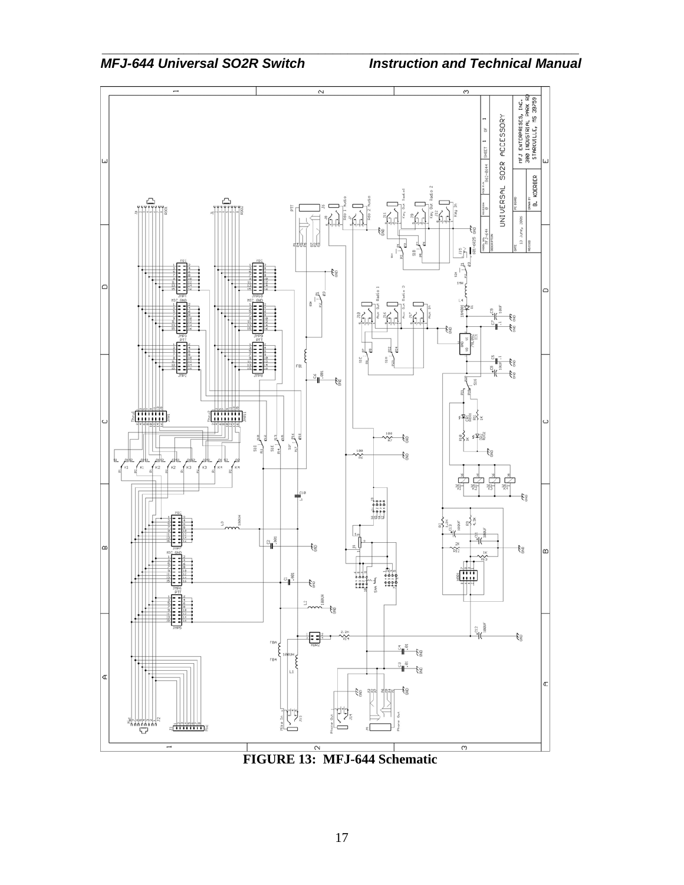

*\_\_\_\_\_\_\_\_\_\_\_\_\_\_\_\_\_\_\_\_\_\_\_\_\_\_\_\_\_\_\_\_\_\_\_\_\_\_\_\_\_\_\_\_\_\_\_\_\_\_\_\_\_\_\_\_\_\_\_\_\_\_\_\_*

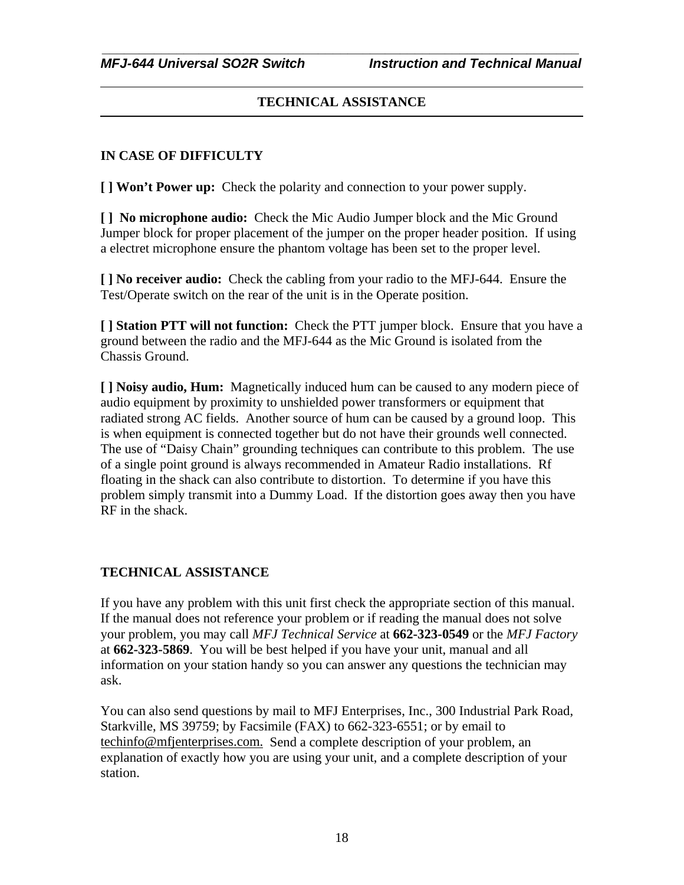# **TECHNICAL ASSISTANCE**

# **IN CASE OF DIFFICULTY**

**[ ] Won't Power up:** Check the polarity and connection to your power supply.

**[ ] No microphone audio:** Check the Mic Audio Jumper block and the Mic Ground Jumper block for proper placement of the jumper on the proper header position. If using a electret microphone ensure the phantom voltage has been set to the proper level.

**[ ] No receiver audio:** Check the cabling from your radio to the MFJ-644. Ensure the Test/Operate switch on the rear of the unit is in the Operate position.

**[ ] Station PTT will not function:** Check the PTT jumper block. Ensure that you have a ground between the radio and the MFJ-644 as the Mic Ground is isolated from the Chassis Ground.

**[ ] Noisy audio, Hum:** Magnetically induced hum can be caused to any modern piece of audio equipment by proximity to unshielded power transformers or equipment that radiated strong AC fields. Another source of hum can be caused by a ground loop. This is when equipment is connected together but do not have their grounds well connected. The use of "Daisy Chain" grounding techniques can contribute to this problem. The use of a single point ground is always recommended in Amateur Radio installations. Rf floating in the shack can also contribute to distortion. To determine if you have this problem simply transmit into a Dummy Load. If the distortion goes away then you have RF in the shack.

# **TECHNICAL ASSISTANCE**

If you have any problem with this unit first check the appropriate section of this manual. If the manual does not reference your problem or if reading the manual does not solve your problem, you may call *MFJ Technical Service* at **662-323-0549** or the *MFJ Factory* at **662-323-5869**. You will be best helped if you have your unit, manual and all information on your station handy so you can answer any questions the technician may ask.

You can also send questions by mail to MFJ Enterprises, Inc., 300 Industrial Park Road, Starkville, MS 39759; by Facsimile (FAX) to 662-323-6551; or by email to techinfo@mfjenterprises.com. Send a complete description of your problem, an explanation of exactly how you are using your unit, and a complete description of your station.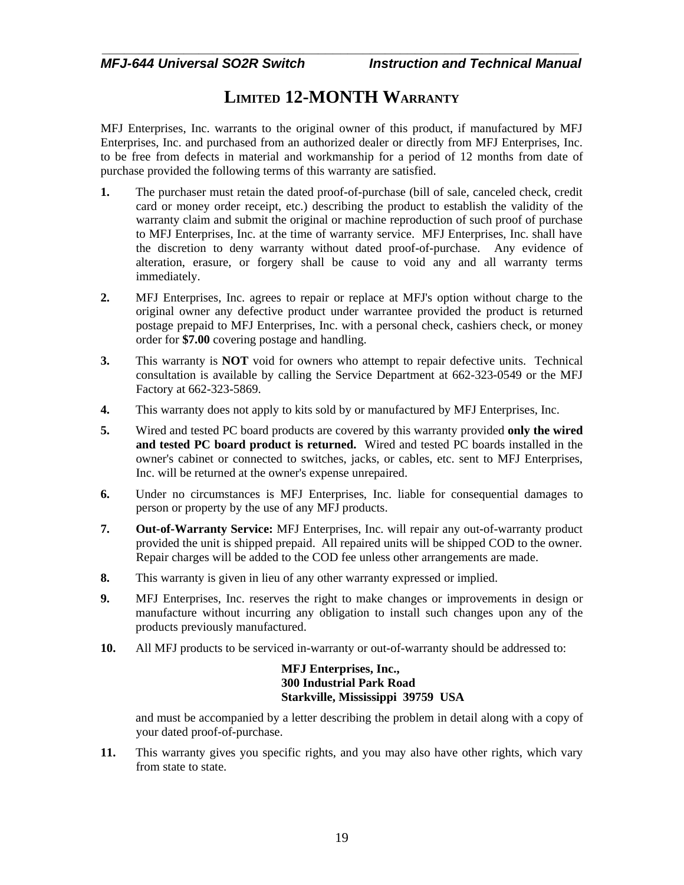# **LIMITED 12-MONTH WARRANTY**

MFJ Enterprises, Inc. warrants to the original owner of this product, if manufactured by MFJ Enterprises, Inc. and purchased from an authorized dealer or directly from MFJ Enterprises, Inc. to be free from defects in material and workmanship for a period of 12 months from date of purchase provided the following terms of this warranty are satisfied.

- **1.** The purchaser must retain the dated proof-of-purchase (bill of sale, canceled check, credit card or money order receipt, etc.) describing the product to establish the validity of the warranty claim and submit the original or machine reproduction of such proof of purchase to MFJ Enterprises, Inc. at the time of warranty service. MFJ Enterprises, Inc. shall have the discretion to deny warranty without dated proof-of-purchase. Any evidence of alteration, erasure, or forgery shall be cause to void any and all warranty terms immediately.
- **2.** MFJ Enterprises, Inc. agrees to repair or replace at MFJ's option without charge to the original owner any defective product under warrantee provided the product is returned postage prepaid to MFJ Enterprises, Inc. with a personal check, cashiers check, or money order for **\$7.00** covering postage and handling.
- **3.** This warranty is **NOT** void for owners who attempt to repair defective units. Technical consultation is available by calling the Service Department at 662-323-0549 or the MFJ Factory at 662-323-5869.
- **4.** This warranty does not apply to kits sold by or manufactured by MFJ Enterprises, Inc.
- **5.** Wired and tested PC board products are covered by this warranty provided **only the wired and tested PC board product is returned.** Wired and tested PC boards installed in the owner's cabinet or connected to switches, jacks, or cables, etc. sent to MFJ Enterprises, Inc. will be returned at the owner's expense unrepaired.
- **6.** Under no circumstances is MFJ Enterprises, Inc. liable for consequential damages to person or property by the use of any MFJ products.
- **7. Out-of-Warranty Service:** MFJ Enterprises, Inc. will repair any out-of-warranty product provided the unit is shipped prepaid. All repaired units will be shipped COD to the owner. Repair charges will be added to the COD fee unless other arrangements are made.
- **8.** This warranty is given in lieu of any other warranty expressed or implied.
- **9.** MFJ Enterprises, Inc. reserves the right to make changes or improvements in design or manufacture without incurring any obligation to install such changes upon any of the products previously manufactured.
- **10.** All MFJ products to be serviced in-warranty or out-of-warranty should be addressed to:

#### **MFJ Enterprises, Inc., 300 Industrial Park Road Starkville, Mississippi 39759 USA**

and must be accompanied by a letter describing the problem in detail along with a copy of your dated proof-of-purchase.

**11.** This warranty gives you specific rights, and you may also have other rights, which vary from state to state.